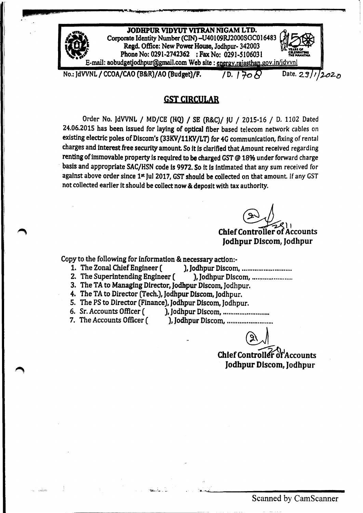

## GST CIRCULAR

Order No. JdVVNL / MD/CE (HQ) / SE (R&C)/ JU / 2015-16 / D. 1102 Dated 24.06.2015 has been issued for laying of optical fiber based telecom network cables on existing electric poles of Discom's (33KV/11KV/LT) for 4G communication, fixing of rental charges and interest free security amount So it Is clarified that Amount received regarding renting of immovable property is required to be charged GST @ 18% under forward charge basis and appropriate SAC/HSN code is 9972. So it is intimated that any sum received for against above order since 1<sup>st</sup> Jul 2017, GST should be collected on that amount. If any GST not collected earlier it should be collect now & deposit with tax authority.

Chief Controller of Accounts Jodhpur Discom, Jodhpur

Copy to the following for information & necessary action:-

••• , IIj IISII,EIIL,.az •• 1s---- •••••••••• t.L'I!l;;1!h ..M,hAJ. 4{;,,¥4 · ••••••..• "'4.,. -.\_",. **XU** *\_.\_.M* ~-.~SL \_\_...,+c\_ ••

- 1. The Zonal Chief Engineer ( ), Jodhpur Discom, ................................
- 2. The Superintending Engineer ( ), Jodhpur Discom, .............................
- 3. The TA to Managing Director, Jodhpur Discom, Jodhpur.
- 4. The TA to Director (Tech.), Jodhpur Discom, Jodhpur.
- 5. The PS to Director (Finance), Jodhpur Discom, Jodhpur.<br>6. Sr. Accounts Officer ( ), Jodhpur Discom, ..............
- 
- 6. Sr. Accounts Officer ( ), Jodhpur Dlscom, ........................•.
- 
- 7. The Accounts Officer ( ), Jodhpur Discom, ...................................

~

Chief Controller of Accounts Jodhpur Discom, Jodhpur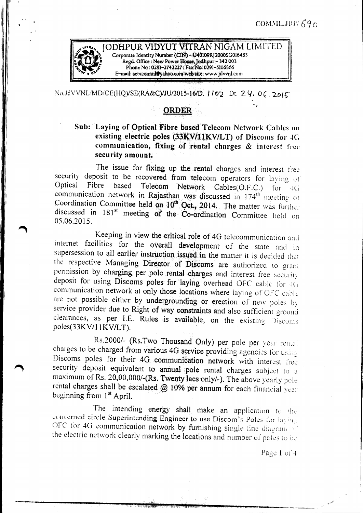

No.JdVVNL/MD/CE(HQ)/SE(RA&C)/JU/2015-16/D. 1102 Dt. 24, 06.2015

## **ORDER**

## Sub: Laying of Optical Fibre based Telecom Network Cables on existing electric poles (33KV/11KV/LT) of Discoms for 4G communication, fixing of rental charges & interest free security amount.

The issue for fixing up the rental charges and interest free security deposit to be recovered from telecom operators for laying of Fibre based Telecom Network Cables(O.F.C.) for 4G Optical communication network in Rajasthan was discussed in 174<sup>th</sup> meeting of Coordination Committee held on 10<sup>th</sup> Oct., 2014. The matter was further discussed in 181<sup>st</sup> meeting of the Co-ordination Committee held on 05.06.2015.

Keeping in view the critical role of 4G telecommunication and internet facilities for the overall development of the state and in supersession to all earlier instruction issued in the matter it is decided that the respective Managing Director of Discoms are authorized to grant permission by charging per pole rental charges and interest free security deposit for using Discoms poles for laying overhead OFC cable for 4G communication network at only those locations where laying of OFC cable are not possible either by undergrounding or erection of new poles by service provider due to Right of way constraints and also sufficient ground clearances, as per I.E. Rules is available, on the existing Discoms poles(33KV/11KV/LT).

Rs.2000/- (Rs.Two Thousand Only) per pole per year rental charges to be charged from various 4G service providing agencies for using Discoms poles for their 4G communication network with interest free security deposit equivalent to annual pole rental charges subject to a maximum of Rs. 20,00,000/-(Rs. Twenty lacs only/-). The above yearly pole rental charges shall be escalated @ 10% per annum for each financial year beginning from 1<sup>st</sup> April.

The intending energy shall make an application to the concerned circle Superintending Engineer to use Discom's Poles for laying OFC for 4G communication network by furnishing single line diagram of the electric network clearly marking the locations and number of poles to be

Page  $1$  of  $4$